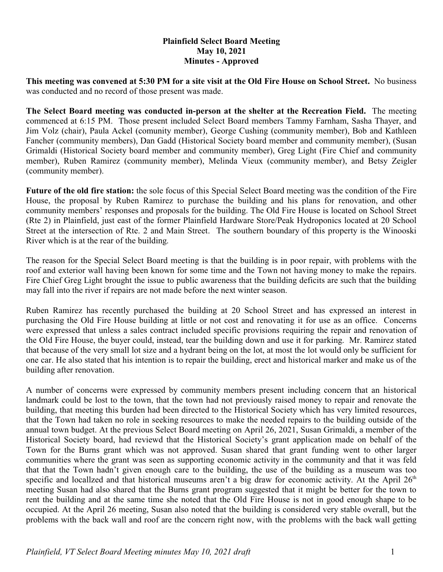## **Plainfield Select Board Meeting May 10, 2021 Minutes - Approved**

**This meeting was convened at 5:30 PM for a site visit at the Old Fire House on School Street.** No business was conducted and no record of those present was made.

**The Select Board meeting was conducted in-person at the shelter at the Recreation Field.** The meeting commenced at 6:15 PM. Those present included Select Board members Tammy Farnham, Sasha Thayer, and Jim Volz (chair), Paula Ackel (comunity member), George Cushing (community member), Bob and Kathleen Fancher (community members), Dan Gadd (Historical Society board member and community member), (Susan Grimaldi (Historical Society board member and community member), Greg Light (Fire Chief and community member), Ruben Ramirez (community member), Melinda Vieux (community member), and Betsy Zeigler (community member).

**Future of the old fire station:** the sole focus of this Special Select Board meeting was the condition of the Fire House, the proposal by Ruben Ramirez to purchase the building and his plans for renovation, and other community members' responses and proposals for the building. The Old Fire House is located on School Street (Rte 2) in Plainfield, just east of the former Plainfield Hardware Store/Peak Hydroponics located at 20 School Street at the intersection of Rte. 2 and Main Street. The southern boundary of this property is the Winooski River which is at the rear of the building.

The reason for the Special Select Board meeting is that the building is in poor repair, with problems with the roof and exterior wall having been known for some time and the Town not having money to make the repairs. Fire Chief Greg Light brought the issue to public awareness that the building deficits are such that the building may fall into the river if repairs are not made before the next winter season.

Ruben Ramirez has recently purchased the building at 20 School Street and has expressed an interest in purchasing the Old Fire House building at little or not cost and renovating it for use as an office. Concerns were expressed that unless a sales contract included specific provisions requiring the repair and renovation of the Old Fire House, the buyer could, instead, tear the building down and use it for parking. Mr. Ramirez stated that because of the very small lot size and a hydrant being on the lot, at most the lot would only be sufficient for one car. He also stated that his intention is to repair the building, erect and historical marker and make us of the building after renovation.

A number of concerns were expressed by community members present including concern that an historical landmark could be lost to the town, that the town had not previously raised money to repair and renovate the building, that meeting this burden had been directed to the Historical Society which has very limited resources, that the Town had taken no role in seeking resources to make the needed repairs to the building outside of the annual town budget. At the previous Select Board meeting on April 26, 2021, Susan Grimaldi, a member of the Historical Society board, had reviewd that the Historical Society's grant application made on behalf of the Town for the Burns grant which was not approved. Susan shared that grant funding went to other larger communities where the grant was seen as supporting economic activity in the community and that it was feld that that the Town hadn't given enough care to the building, the use of the building as a museum was too specific and locallzed and that historical museums aren't a big draw for economic activity. At the April  $26<sup>th</sup>$ meeting Susan had also shared that the Burns grant program suggested that it might be better for the town to rent the building and at the same time she noted that the Old Fire House is not in good enough shape to be occupied. At the April 26 meeting, Susan also noted that the building is considered very stable overall, but the problems with the back wall and roof are the concern right now, with the problems with the back wall getting